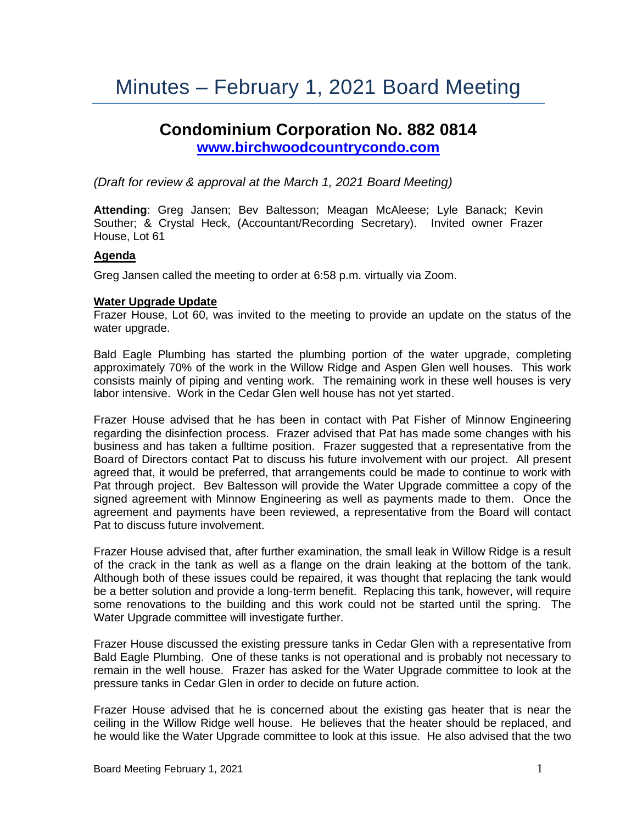# Minutes – February 1, 2021 Board Meeting

# **Condominium Corporation No. 882 0814 [www.birchwoodcountrycondo.com](http://www.birchwoodcountrycondo.com/)**

*(Draft for review & approval at the March 1, 2021 Board Meeting)*

**Attending**: Greg Jansen; Bev Baltesson; Meagan McAleese; Lyle Banack; Kevin Souther; & Crystal Heck, (Accountant/Recording Secretary). Invited owner Frazer House, Lot 61

#### **Agenda**

Greg Jansen called the meeting to order at 6:58 p.m. virtually via Zoom.

#### **Water Upgrade Update**

Frazer House, Lot 60, was invited to the meeting to provide an update on the status of the water upgrade.

Bald Eagle Plumbing has started the plumbing portion of the water upgrade, completing approximately 70% of the work in the Willow Ridge and Aspen Glen well houses. This work consists mainly of piping and venting work. The remaining work in these well houses is very labor intensive. Work in the Cedar Glen well house has not yet started.

Frazer House advised that he has been in contact with Pat Fisher of Minnow Engineering regarding the disinfection process. Frazer advised that Pat has made some changes with his business and has taken a fulltime position. Frazer suggested that a representative from the Board of Directors contact Pat to discuss his future involvement with our project. All present agreed that, it would be preferred, that arrangements could be made to continue to work with Pat through project. Bev Baltesson will provide the Water Upgrade committee a copy of the signed agreement with Minnow Engineering as well as payments made to them. Once the agreement and payments have been reviewed, a representative from the Board will contact Pat to discuss future involvement.

Frazer House advised that, after further examination, the small leak in Willow Ridge is a result of the crack in the tank as well as a flange on the drain leaking at the bottom of the tank. Although both of these issues could be repaired, it was thought that replacing the tank would be a better solution and provide a long-term benefit. Replacing this tank, however, will require some renovations to the building and this work could not be started until the spring. The Water Upgrade committee will investigate further.

Frazer House discussed the existing pressure tanks in Cedar Glen with a representative from Bald Eagle Plumbing. One of these tanks is not operational and is probably not necessary to remain in the well house. Frazer has asked for the Water Upgrade committee to look at the pressure tanks in Cedar Glen in order to decide on future action.

Frazer House advised that he is concerned about the existing gas heater that is near the ceiling in the Willow Ridge well house. He believes that the heater should be replaced, and he would like the Water Upgrade committee to look at this issue. He also advised that the two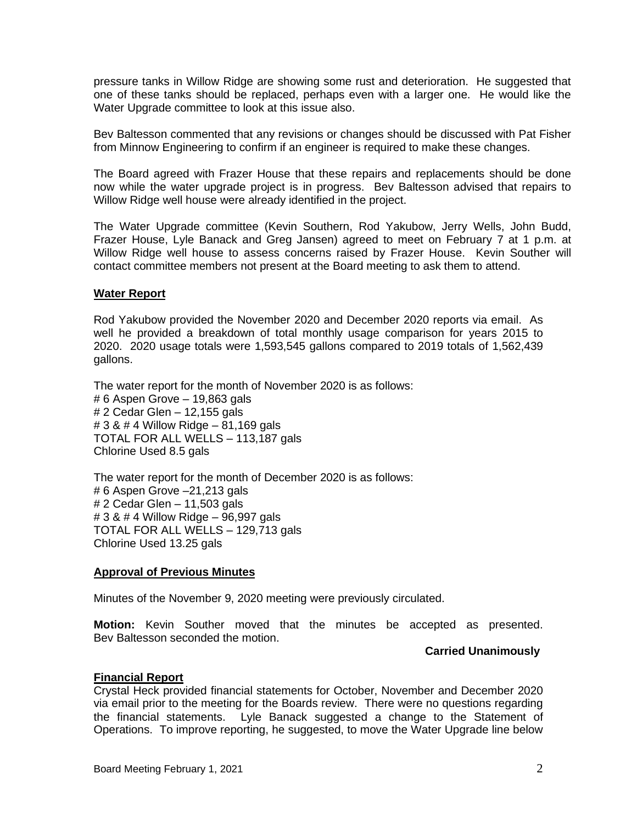pressure tanks in Willow Ridge are showing some rust and deterioration. He suggested that one of these tanks should be replaced, perhaps even with a larger one. He would like the Water Upgrade committee to look at this issue also.

Bev Baltesson commented that any revisions or changes should be discussed with Pat Fisher from Minnow Engineering to confirm if an engineer is required to make these changes.

The Board agreed with Frazer House that these repairs and replacements should be done now while the water upgrade project is in progress. Bev Baltesson advised that repairs to Willow Ridge well house were already identified in the project.

The Water Upgrade committee (Kevin Southern, Rod Yakubow, Jerry Wells, John Budd, Frazer House, Lyle Banack and Greg Jansen) agreed to meet on February 7 at 1 p.m. at Willow Ridge well house to assess concerns raised by Frazer House. Kevin Souther will contact committee members not present at the Board meeting to ask them to attend.

#### **Water Report**

Rod Yakubow provided the November 2020 and December 2020 reports via email. As well he provided a breakdown of total monthly usage comparison for years 2015 to 2020. 2020 usage totals were 1,593,545 gallons compared to 2019 totals of 1,562,439 gallons.

The water report for the month of November 2020 is as follows: # 6 Aspen Grove – 19,863 gals # 2 Cedar Glen – 12,155 gals # 3 & # 4 Willow Ridge – 81,169 gals TOTAL FOR ALL WELLS – 113,187 gals Chlorine Used 8.5 gals

The water report for the month of December 2020 is as follows: # 6 Aspen Grove –21,213 gals # 2 Cedar Glen – 11,503 gals # 3 & # 4 Willow Ridge – 96,997 gals TOTAL FOR ALL WELLS – 129,713 gals Chlorine Used 13.25 gals

#### **Approval of Previous Minutes**

Minutes of the November 9, 2020 meeting were previously circulated.

**Motion:** Kevin Souther moved that the minutes be accepted as presented. Bev Baltesson seconded the motion.

#### **Carried Unanimously**

#### **Financial Report**

Crystal Heck provided financial statements for October, November and December 2020 via email prior to the meeting for the Boards review. There were no questions regarding the financial statements. Lyle Banack suggested a change to the Statement of Operations. To improve reporting, he suggested, to move the Water Upgrade line below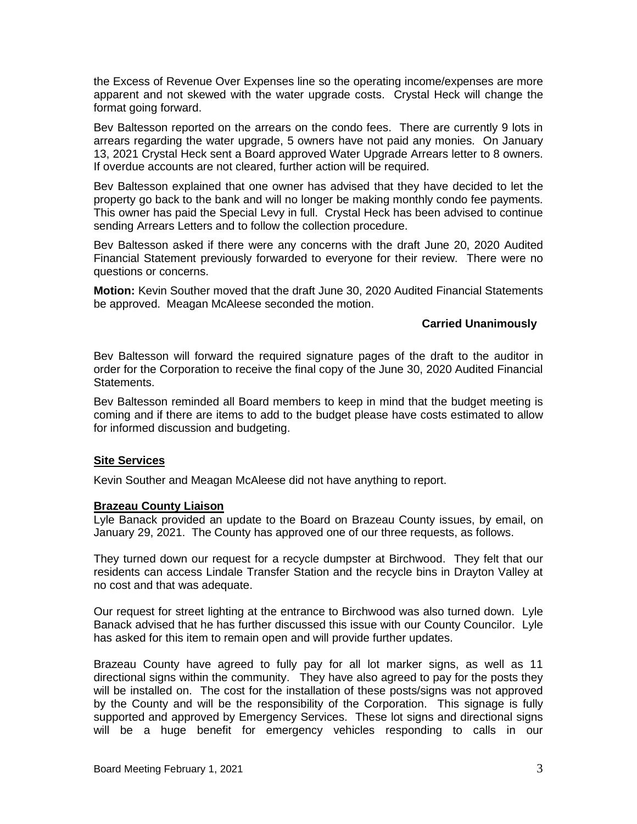the Excess of Revenue Over Expenses line so the operating income/expenses are more apparent and not skewed with the water upgrade costs. Crystal Heck will change the format going forward.

Bev Baltesson reported on the arrears on the condo fees. There are currently 9 lots in arrears regarding the water upgrade, 5 owners have not paid any monies. On January 13, 2021 Crystal Heck sent a Board approved Water Upgrade Arrears letter to 8 owners. If overdue accounts are not cleared, further action will be required.

Bev Baltesson explained that one owner has advised that they have decided to let the property go back to the bank and will no longer be making monthly condo fee payments. This owner has paid the Special Levy in full. Crystal Heck has been advised to continue sending Arrears Letters and to follow the collection procedure.

Bev Baltesson asked if there were any concerns with the draft June 20, 2020 Audited Financial Statement previously forwarded to everyone for their review. There were no questions or concerns.

**Motion:** Kevin Souther moved that the draft June 30, 2020 Audited Financial Statements be approved. Meagan McAleese seconded the motion.

#### **Carried Unanimously**

Bev Baltesson will forward the required signature pages of the draft to the auditor in order for the Corporation to receive the final copy of the June 30, 2020 Audited Financial Statements.

Bev Baltesson reminded all Board members to keep in mind that the budget meeting is coming and if there are items to add to the budget please have costs estimated to allow for informed discussion and budgeting.

# **Site Services**

Kevin Souther and Meagan McAleese did not have anything to report.

#### **Brazeau County Liaison**

Lyle Banack provided an update to the Board on Brazeau County issues, by email, on January 29, 2021. The County has approved one of our three requests, as follows.

They turned down our request for a recycle dumpster at Birchwood. They felt that our residents can access Lindale Transfer Station and the recycle bins in Drayton Valley at no cost and that was adequate.

Our request for street lighting at the entrance to Birchwood was also turned down. Lyle Banack advised that he has further discussed this issue with our County Councilor. Lyle has asked for this item to remain open and will provide further updates.

Brazeau County have agreed to fully pay for all lot marker signs, as well as 11 directional signs within the community. They have also agreed to pay for the posts they will be installed on. The cost for the installation of these posts/signs was not approved by the County and will be the responsibility of the Corporation. This signage is fully supported and approved by Emergency Services. These lot signs and directional signs will be a huge benefit for emergency vehicles responding to calls in our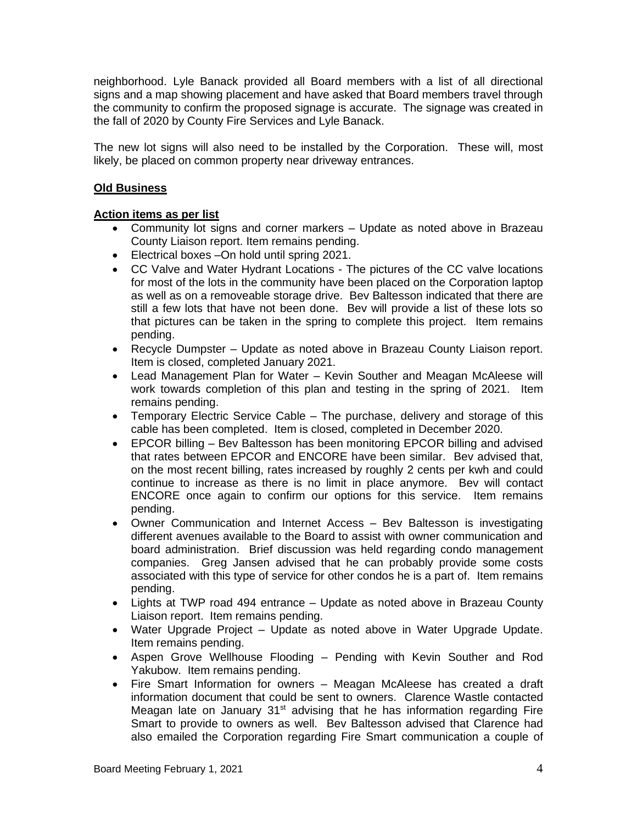neighborhood. Lyle Banack provided all Board members with a list of all directional signs and a map showing placement and have asked that Board members travel through the community to confirm the proposed signage is accurate. The signage was created in the fall of 2020 by County Fire Services and Lyle Banack.

The new lot signs will also need to be installed by the Corporation. These will, most likely, be placed on common property near driveway entrances.

# **Old Business**

# **Action items as per list**

- Community lot signs and corner markers Update as noted above in Brazeau County Liaison report. Item remains pending.
- Electrical boxes –On hold until spring 2021.
- CC Valve and Water Hydrant Locations The pictures of the CC valve locations for most of the lots in the community have been placed on the Corporation laptop as well as on a removeable storage drive. Bev Baltesson indicated that there are still a few lots that have not been done. Bev will provide a list of these lots so that pictures can be taken in the spring to complete this project. Item remains pending.
- Recycle Dumpster Update as noted above in Brazeau County Liaison report. Item is closed, completed January 2021.
- Lead Management Plan for Water Kevin Souther and Meagan McAleese will work towards completion of this plan and testing in the spring of 2021. Item remains pending.
- Temporary Electric Service Cable The purchase, delivery and storage of this cable has been completed. Item is closed, completed in December 2020.
- EPCOR billing Bev Baltesson has been monitoring EPCOR billing and advised that rates between EPCOR and ENCORE have been similar. Bev advised that, on the most recent billing, rates increased by roughly 2 cents per kwh and could continue to increase as there is no limit in place anymore. Bev will contact ENCORE once again to confirm our options for this service. Item remains pending.
- Owner Communication and Internet Access Bev Baltesson is investigating different avenues available to the Board to assist with owner communication and board administration. Brief discussion was held regarding condo management companies. Greg Jansen advised that he can probably provide some costs associated with this type of service for other condos he is a part of. Item remains pending.
- Lights at TWP road 494 entrance Update as noted above in Brazeau County Liaison report. Item remains pending.
- Water Upgrade Project Update as noted above in Water Upgrade Update. Item remains pending.
- Aspen Grove Wellhouse Flooding Pending with Kevin Souther and Rod Yakubow. Item remains pending.
- Fire Smart Information for owners Meagan McAleese has created a draft information document that could be sent to owners. Clarence Wastle contacted Meagan late on January  $31<sup>st</sup>$  advising that he has information regarding Fire Smart to provide to owners as well. Bev Baltesson advised that Clarence had also emailed the Corporation regarding Fire Smart communication a couple of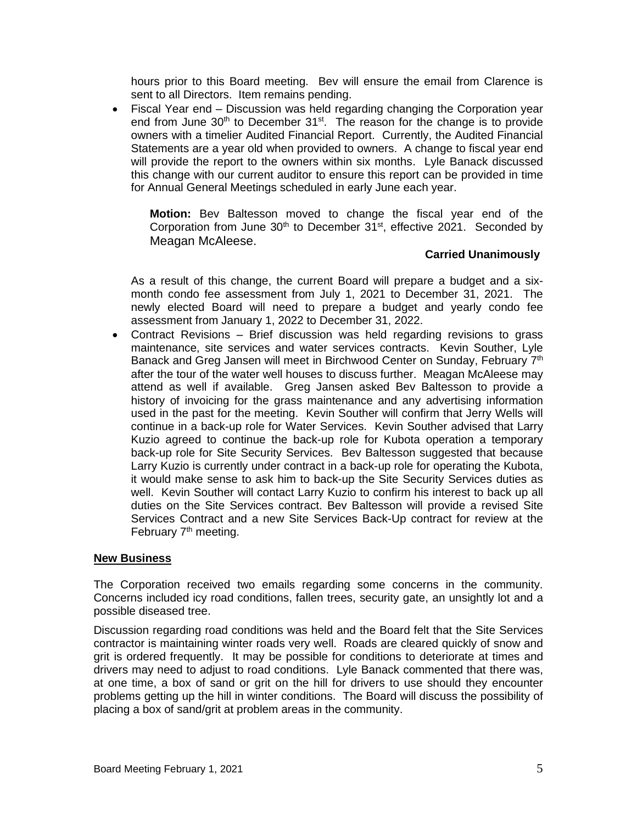hours prior to this Board meeting. Bev will ensure the email from Clarence is sent to all Directors. Item remains pending.

• Fiscal Year end – Discussion was held regarding changing the Corporation year end from June  $30<sup>th</sup>$  to December  $31<sup>st</sup>$ . The reason for the change is to provide owners with a timelier Audited Financial Report. Currently, the Audited Financial Statements are a year old when provided to owners. A change to fiscal year end will provide the report to the owners within six months. Lyle Banack discussed this change with our current auditor to ensure this report can be provided in time for Annual General Meetings scheduled in early June each year.

**Motion:** Bev Baltesson moved to change the fiscal year end of the Corporation from June  $30<sup>th</sup>$  to December  $31<sup>st</sup>$ , effective 2021. Seconded by Meagan McAleese.

## **Carried Unanimously**

As a result of this change, the current Board will prepare a budget and a sixmonth condo fee assessment from July 1, 2021 to December 31, 2021. The newly elected Board will need to prepare a budget and yearly condo fee assessment from January 1, 2022 to December 31, 2022.

• Contract Revisions – Brief discussion was held regarding revisions to grass maintenance, site services and water services contracts. Kevin Souther, Lyle Banack and Greg Jansen will meet in Birchwood Center on Sunday, February 7<sup>th</sup> after the tour of the water well houses to discuss further. Meagan McAleese may attend as well if available. Greg Jansen asked Bev Baltesson to provide a history of invoicing for the grass maintenance and any advertising information used in the past for the meeting. Kevin Souther will confirm that Jerry Wells will continue in a back-up role for Water Services. Kevin Souther advised that Larry Kuzio agreed to continue the back-up role for Kubota operation a temporary back-up role for Site Security Services. Bev Baltesson suggested that because Larry Kuzio is currently under contract in a back-up role for operating the Kubota, it would make sense to ask him to back-up the Site Security Services duties as well. Kevin Souther will contact Larry Kuzio to confirm his interest to back up all duties on the Site Services contract. Bev Baltesson will provide a revised Site Services Contract and a new Site Services Back-Up contract for review at the February 7<sup>th</sup> meeting.

#### **New Business**

The Corporation received two emails regarding some concerns in the community. Concerns included icy road conditions, fallen trees, security gate, an unsightly lot and a possible diseased tree.

Discussion regarding road conditions was held and the Board felt that the Site Services contractor is maintaining winter roads very well. Roads are cleared quickly of snow and grit is ordered frequently. It may be possible for conditions to deteriorate at times and drivers may need to adjust to road conditions. Lyle Banack commented that there was, at one time, a box of sand or grit on the hill for drivers to use should they encounter problems getting up the hill in winter conditions. The Board will discuss the possibility of placing a box of sand/grit at problem areas in the community.